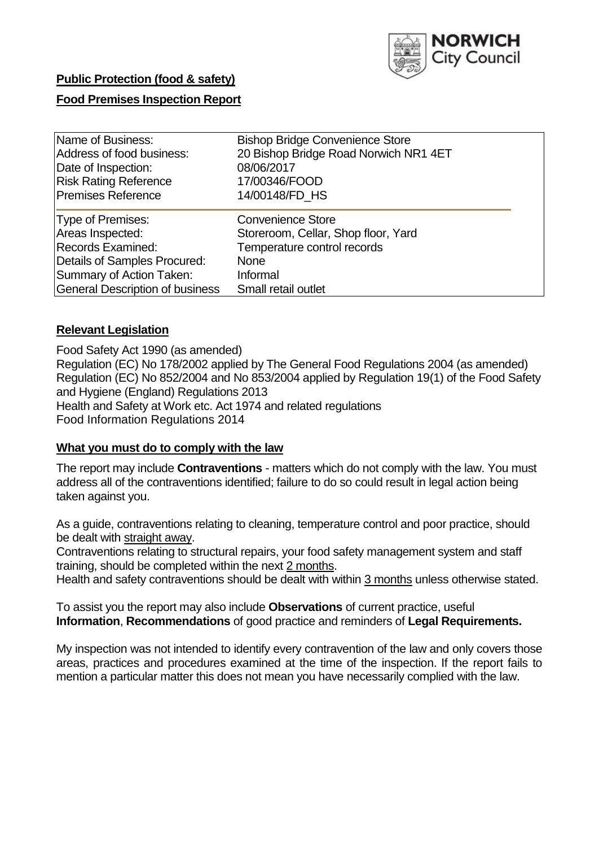

# **Public Protection (food & safety) Food Premises Inspection Report**

| Name of Business:                      | <b>Bishop Bridge Convenience Store</b> |
|----------------------------------------|----------------------------------------|
| Address of food business:              | 20 Bishop Bridge Road Norwich NR1 4ET  |
| Date of Inspection:                    | 08/06/2017                             |
| <b>Risk Rating Reference</b>           | 17/00346/FOOD                          |
| <b>Premises Reference</b>              | 14/00148/FD HS                         |
| Type of Premises:                      | <b>Convenience Store</b>               |
| Areas Inspected:                       | Storeroom, Cellar, Shop floor, Yard    |
| <b>Records Examined:</b>               | Temperature control records            |
| Details of Samples Procured:           | <b>None</b>                            |
| Summary of Action Taken:               | Informal                               |
| <b>General Description of business</b> | Small retail outlet                    |

### **Relevant Legislation**

Food Safety Act 1990 (as amended) Regulation (EC) No 178/2002 applied by The General Food Regulations 2004 (as amended) Regulation (EC) No 852/2004 and No 853/2004 applied by Regulation 19(1) of the Food Safety and Hygiene (England) Regulations 2013 Health and Safety at Work etc. Act 1974 and related regulations Food Information Regulations 2014

### **What you must do to comply with the law**

The report may include **Contraventions** - matters which do not comply with the law. You must address all of the contraventions identified; failure to do so could result in legal action being taken against you.

As a guide, contraventions relating to cleaning, temperature control and poor practice, should be dealt with straight away.

Contraventions relating to structural repairs, your food safety management system and staff training, should be completed within the next 2 months.

Health and safety contraventions should be dealt with within 3 months unless otherwise stated.

To assist you the report may also include **Observations** of current practice, useful **Information**, **Recommendations** of good practice and reminders of **Legal Requirements.**

My inspection was not intended to identify every contravention of the law and only covers those areas, practices and procedures examined at the time of the inspection. If the report fails to mention a particular matter this does not mean you have necessarily complied with the law.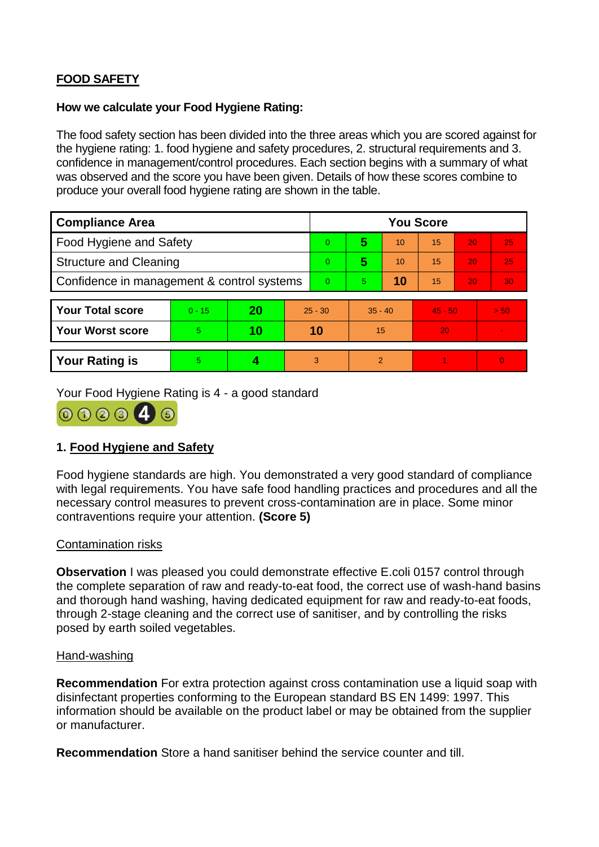## **FOOD SAFETY**

#### **How we calculate your Food Hygiene Rating:**

The food safety section has been divided into the three areas which you are scored against for the hygiene rating: 1. food hygiene and safety procedures, 2. structural requirements and 3. confidence in management/control procedures. Each section begins with a summary of what was observed and the score you have been given. Details of how these scores combine to produce your overall food hygiene rating are shown in the table.

| <b>Compliance Area</b>                     |          |    |           | <b>You Score</b> |                |    |           |    |          |  |  |
|--------------------------------------------|----------|----|-----------|------------------|----------------|----|-----------|----|----------|--|--|
| Food Hygiene and Safety                    |          |    |           | $\overline{0}$   | 5              | 10 | 15        | 20 | 25       |  |  |
| <b>Structure and Cleaning</b>              |          |    |           | $\Omega$         | 5              | 10 | 15        | 20 | 25       |  |  |
| Confidence in management & control systems |          |    |           | $\Omega$         | 5.             | 10 | 15        | 20 | 30       |  |  |
|                                            |          |    |           |                  |                |    |           |    |          |  |  |
| <b>Your Total score</b>                    | $0 - 15$ | 20 | $25 - 30$ |                  | $35 - 40$      |    | $45 - 50$ |    | > 50     |  |  |
| <b>Your Worst score</b>                    | 5.       | 10 | 10        |                  | 15             |    | 20        |    | ÷        |  |  |
|                                            |          |    |           |                  |                |    |           |    |          |  |  |
| <b>Your Rating is</b>                      | 5        |    |           | 3                | $\overline{2}$ |    |           |    | $\Omega$ |  |  |

Your Food Hygiene Rating is 4 - a good standard



### **1. Food Hygiene and Safety**

Food hygiene standards are high. You demonstrated a very good standard of compliance with legal requirements. You have safe food handling practices and procedures and all the necessary control measures to prevent cross-contamination are in place. Some minor contraventions require your attention. **(Score 5)**

### Contamination risks

**Observation** I was pleased you could demonstrate effective E.coli 0157 control through the complete separation of raw and ready-to-eat food, the correct use of wash-hand basins and thorough hand washing, having dedicated equipment for raw and ready-to-eat foods, through 2-stage cleaning and the correct use of sanitiser, and by controlling the risks posed by earth soiled vegetables.

#### Hand-washing

**Recommendation** For extra protection against cross contamination use a liquid soap with disinfectant properties conforming to the European standard BS EN 1499: 1997. This information should be available on the product label or may be obtained from the supplier or manufacturer.

**Recommendation** Store a hand sanitiser behind the service counter and till.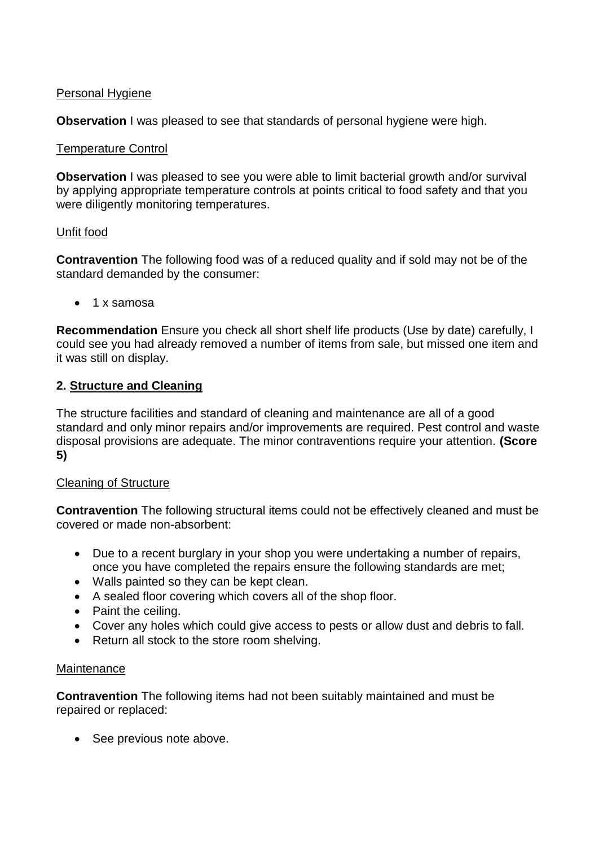### Personal Hygiene

**Observation** I was pleased to see that standards of personal hygiene were high.

### Temperature Control

**Observation** I was pleased to see you were able to limit bacterial growth and/or survival by applying appropriate temperature controls at points critical to food safety and that you were diligently monitoring temperatures.

### Unfit food

**Contravention** The following food was of a reduced quality and if sold may not be of the standard demanded by the consumer:

1 x samosa

**Recommendation** Ensure you check all short shelf life products (Use by date) carefully, I could see you had already removed a number of items from sale, but missed one item and it was still on display.

### **2. Structure and Cleaning**

The structure facilities and standard of cleaning and maintenance are all of a good standard and only minor repairs and/or improvements are required. Pest control and waste disposal provisions are adequate. The minor contraventions require your attention. **(Score 5)**

### Cleaning of Structure

**Contravention** The following structural items could not be effectively cleaned and must be covered or made non-absorbent:

- Due to a recent burglary in your shop you were undertaking a number of repairs, once you have completed the repairs ensure the following standards are met;
- Walls painted so they can be kept clean.
- A sealed floor covering which covers all of the shop floor.
- Paint the ceiling.
- Cover any holes which could give access to pests or allow dust and debris to fall.
- Return all stock to the store room shelving.

### Maintenance

**Contravention** The following items had not been suitably maintained and must be repaired or replaced:

• See previous note above.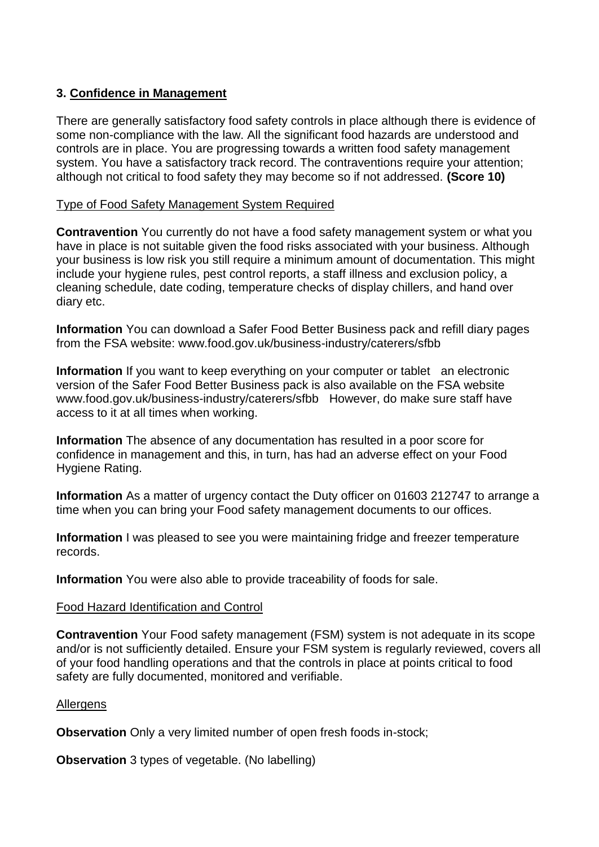### **3. Confidence in Management**

There are generally satisfactory food safety controls in place although there is evidence of some non-compliance with the law. All the significant food hazards are understood and controls are in place. You are progressing towards a written food safety management system. You have a satisfactory track record. The contraventions require your attention; although not critical to food safety they may become so if not addressed. **(Score 10)**

#### Type of Food Safety Management System Required

**Contravention** You currently do not have a food safety management system or what you have in place is not suitable given the food risks associated with your business. Although your business is low risk you still require a minimum amount of documentation. This might include your hygiene rules, pest control reports, a staff illness and exclusion policy, a cleaning schedule, date coding, temperature checks of display chillers, and hand over diary etc.

**Information** You can download a Safer Food Better Business pack and refill diary pages from the FSA website: www.food.gov.uk/business-industry/caterers/sfbb

**Information** If you want to keep everything on your computer or tablet an electronic version of the Safer Food Better Business pack is also available on the FSA website www.food.gov.uk/business-industry/caterers/sfbb However, do make sure staff have access to it at all times when working.

**Information** The absence of any documentation has resulted in a poor score for confidence in management and this, in turn, has had an adverse effect on your Food Hygiene Rating.

**Information** As a matter of urgency contact the Duty officer on 01603 212747 to arrange a time when you can bring your Food safety management documents to our offices.

**Information** I was pleased to see you were maintaining fridge and freezer temperature records.

**Information** You were also able to provide traceability of foods for sale.

#### Food Hazard Identification and Control

**Contravention** Your Food safety management (FSM) system is not adequate in its scope and/or is not sufficiently detailed. Ensure your FSM system is regularly reviewed, covers all of your food handling operations and that the controls in place at points critical to food safety are fully documented, monitored and verifiable.

#### Allergens

**Observation** Only a very limited number of open fresh foods in-stock;

**Observation** 3 types of vegetable. (No labelling)